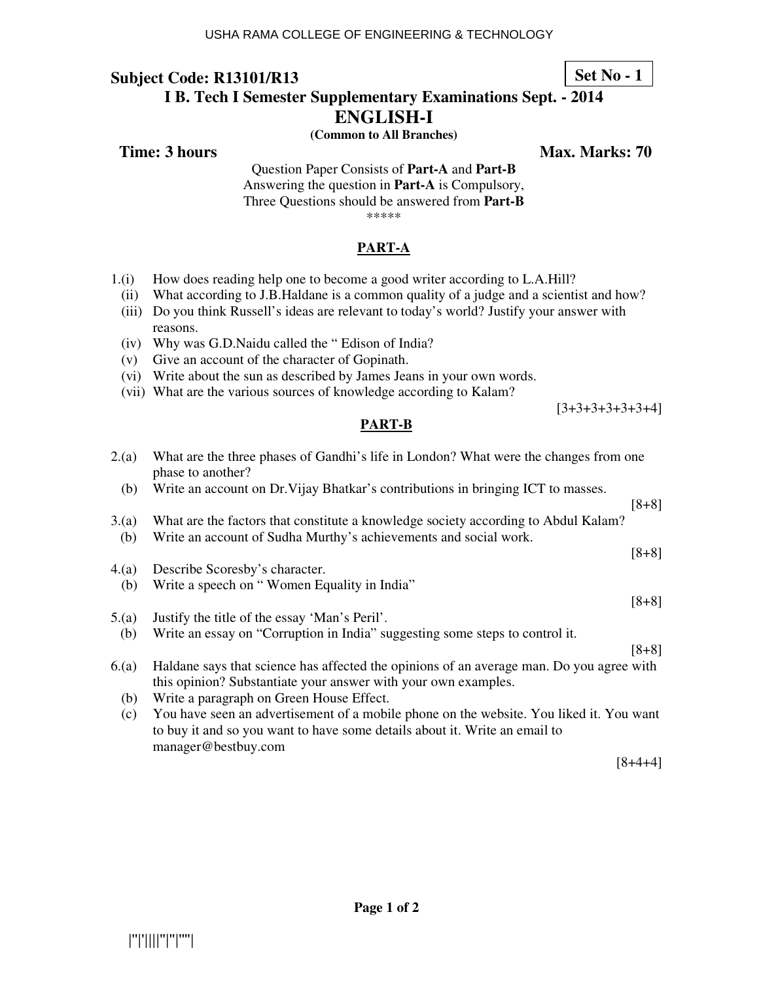### **Set No - 1**

# **I B. Tech I Semester Supplementary Examinations Sept. - 2014**

**ENGLISH-I** 

**(Common to All Branches)** 

**Subject Code: R13101/R13** 

**Time: 3 hours** Max. Marks: 70

Question Paper Consists of **Part-A** and **Part-B** Answering the question in **Part-A** is Compulsory, Three Questions should be answered from **Part-B** \*\*\*\*\*

**PART-A**

- 1.(i) How does reading help one to become a good writer according to L.A.Hill?
	- (ii) What according to J.B.Haldane is a common quality of a judge and a scientist and how?
	- (iii) Do you think Russell's ideas are relevant to today's world? Justify your answer with reasons.
	- (iv) Why was G.D.Naidu called the " Edison of India?
	- (v) Give an account of the character of Gopinath.
	- (vi) Write about the sun as described by James Jeans in your own words.
	- (vii) What are the various sources of knowledge according to Kalam?

**PART-B**

[3+3+3+3+3+3+4]

| 2(a)        | What are the three phases of Gandhi's life in London? What were the changes from one<br>phase to another?                                                                                    |         |
|-------------|----------------------------------------------------------------------------------------------------------------------------------------------------------------------------------------------|---------|
| (b)         | Write an account on Dr. Vijay Bhatkar's contributions in bringing ICT to masses.                                                                                                             | $[8+8]$ |
| 3(a)<br>(b) | What are the factors that constitute a knowledge society according to Abdul Kalam?<br>Write an account of Sudha Murthy's achievements and social work.                                       |         |
|             |                                                                                                                                                                                              | $[8+8]$ |
| 4(a)        | Describe Scoresby's character.                                                                                                                                                               |         |
| (b)         | Write a speech on "Women Equality in India"                                                                                                                                                  |         |
|             |                                                                                                                                                                                              | $[8+8]$ |
| 5(a)        | Justify the title of the essay 'Man's Peril'.                                                                                                                                                |         |
| (b)         | Write an essay on "Corruption in India" suggesting some steps to control it.                                                                                                                 |         |
|             |                                                                                                                                                                                              | $[8+8]$ |
| 6(a)        | Haldane says that science has affected the opinions of an average man. Do you agree with<br>this opinion? Substantiate your answer with your own examples.                                   |         |
| (b)         | Write a paragraph on Green House Effect.                                                                                                                                                     |         |
| (c)         | You have seen an advertisement of a mobile phone on the website. You liked it. You want<br>to buy it and so you want to have some details about it. Write an email to<br>manager@bestbuy.com |         |

[8+4+4]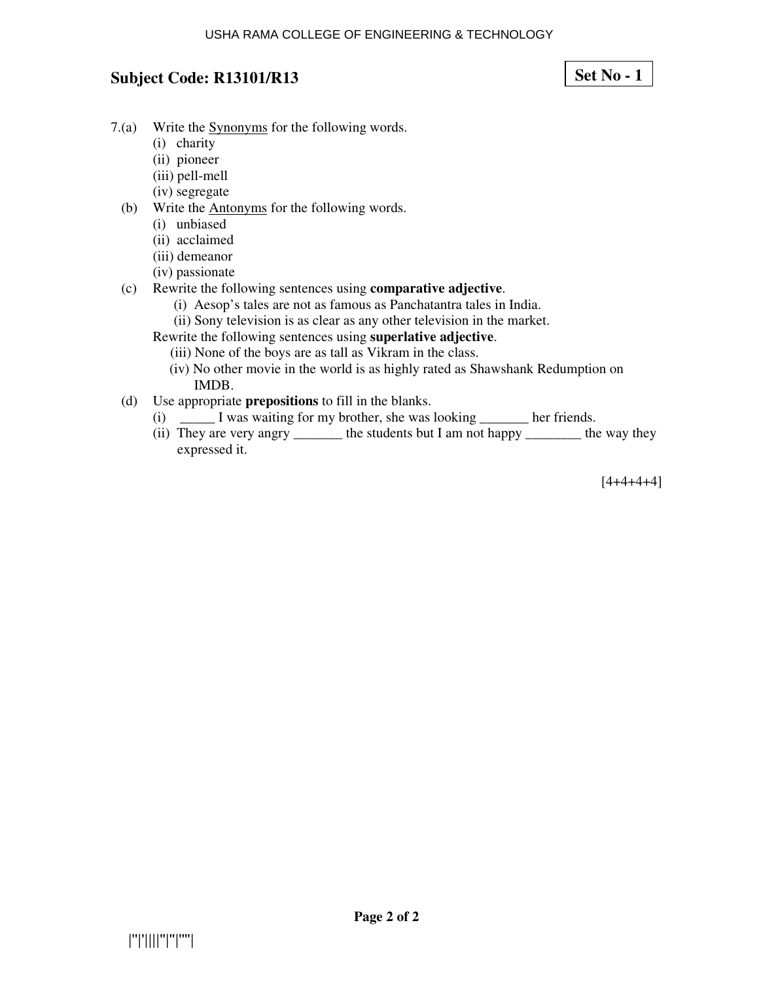**Set No - 1**

- 7.(a) Write the Synonyms for the following words.
	- (i) charity
	- (ii) pioneer
	- (iii) pell-mell
	- (iv) segregate
	- (b) Write the Antonyms for the following words.
		- (i) unbiased
		- (ii) acclaimed
		- (iii) demeanor
		- (iv) passionate
	- (c) Rewrite the following sentences using **comparative adjective**.
		- (i) Aesop's tales are not as famous as Panchatantra tales in India.
		- (ii) Sony television is as clear as any other television in the market.
		- Rewrite the following sentences using **superlative adjective**.
			- (iii) None of the boys are as tall as Vikram in the class.
			- (iv) No other movie in the world is as highly rated as Shawshank Redumption on IMDB.
	- (d) Use appropriate **prepositions** to fill in the blanks.
		- (i) \_\_\_\_\_ I was waiting for my brother, she was looking \_\_\_\_\_\_\_ her friends.
		- (ii) They are very angry \_\_\_\_\_\_\_\_ the students but I am not happy \_\_\_\_\_\_\_\_\_ the way they expressed it.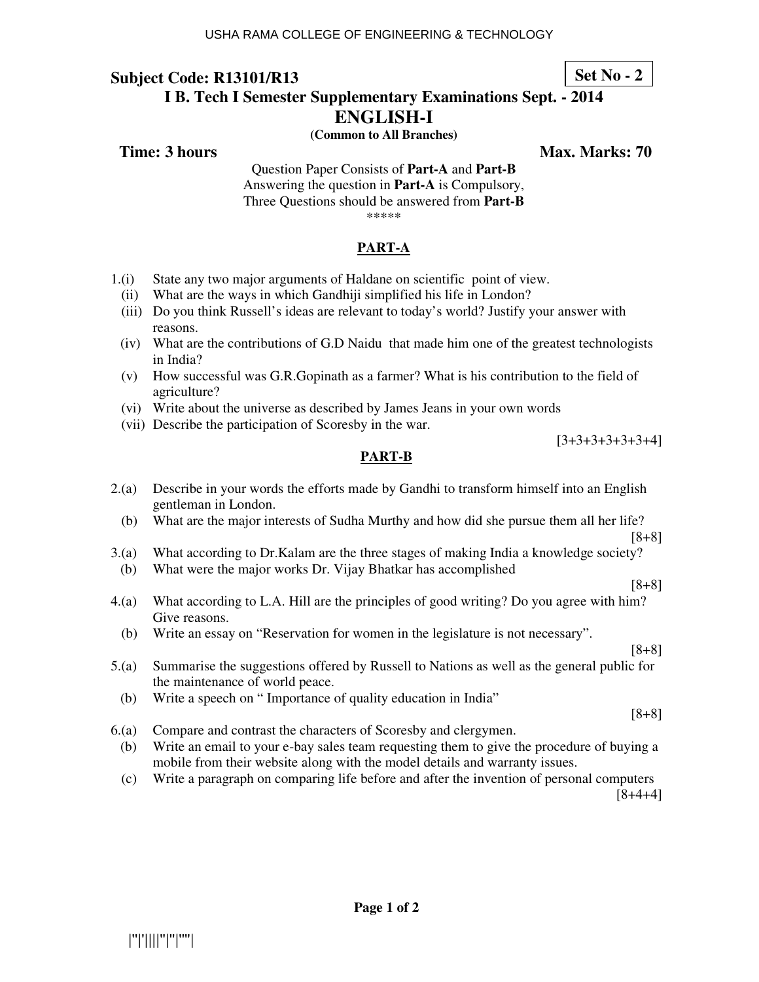### **Set No - 2**

# **I B. Tech I Semester Supplementary Examinations Sept. - 2014**

**ENGLISH-I** 

**(Common to All Branches)** 

**Subject Code: R13101/R13** 

**Time: 3 hours Max. Marks: 70**  Max. Marks: 70

Question Paper Consists of **Part-A** and **Part-B** Answering the question in **Part-A** is Compulsory, Three Questions should be answered from **Part-B** \*\*\*\*\*

### **PART-A**

- 1.(i) State any two major arguments of Haldane on scientific point of view.
	- (ii) What are the ways in which Gandhiji simplified his life in London?
	- (iii) Do you think Russell's ideas are relevant to today's world? Justify your answer with reasons.
- (iv) What are the contributions of G.D Naidu that made him one of the greatest technologists in India?
- (v) How successful was G.R.Gopinath as a farmer? What is his contribution to the field of agriculture?
- (vi) Write about the universe as described by James Jeans in your own words
- (vii) Describe the participation of Scoresby in the war.

[3+3+3+3+3+3+4]

#### **PART-B**

- 2.(a) Describe in your words the efforts made by Gandhi to transform himself into an English gentleman in London.
	- (b) What are the major interests of Sudha Murthy and how did she pursue them all her life?
- [8+8] 3.(a) What according to Dr.Kalam are the three stages of making India a knowledge society?
- (b) What were the major works Dr. Vijay Bhatkar has accomplished
- 4.(a) What according to L.A. Hill are the principles of good writing? Do you agree with him? Give reasons.
	- (b) Write an essay on "Reservation for women in the legislature is not necessary".
- 5.(a) Summarise the suggestions offered by Russell to Nations as well as the general public for the maintenance of world peace.
	- (b) Write a speech on " Importance of quality education in India"
- 6.(a) Compare and contrast the characters of Scoresby and clergymen.
	- (b) Write an email to your e-bay sales team requesting them to give the procedure of buying a mobile from their website along with the model details and warranty issues.
	- (c) Write a paragraph on comparing life before and after the invention of personal computers

[8+4+4]

[8+8]

[8+8]

[8+8]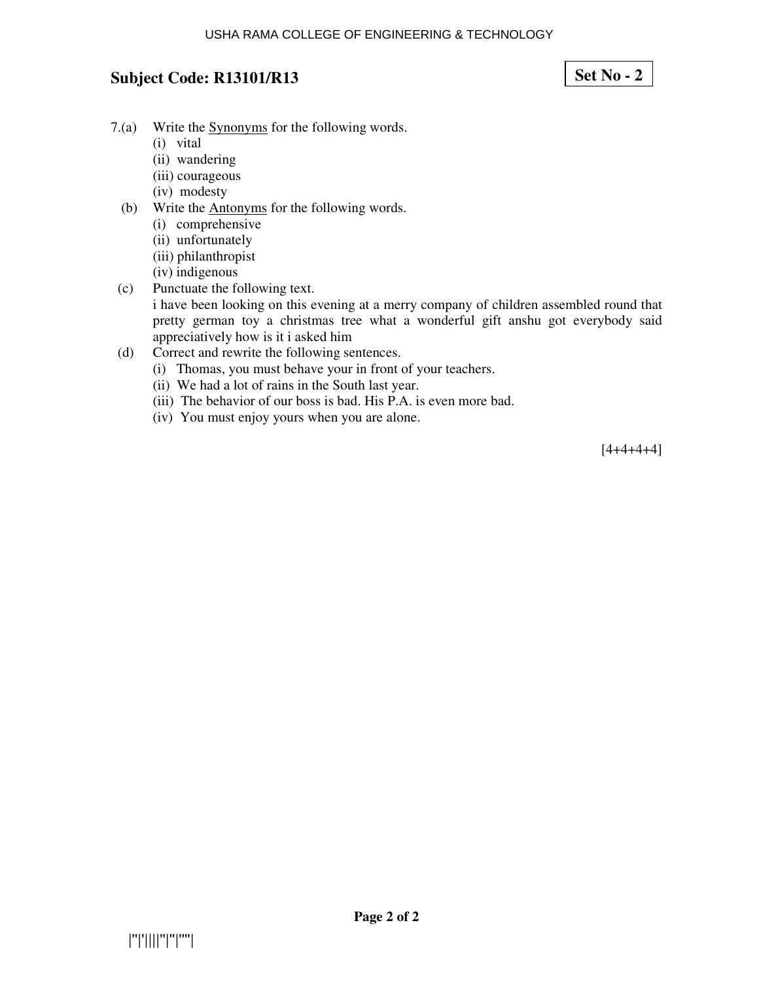## **Set No - 2**

- 7.(a) Write the Synonyms for the following words.
	- (i) vital
	- (ii) wandering
	- (iii) courageous
	- (iv) modesty
	- (b) Write the Antonyms for the following words.
		- (i) comprehensive
		- (ii) unfortunately
		- (iii) philanthropist
		- (iv) indigenous
- (c) Punctuate the following text.

i have been looking on this evening at a merry company of children assembled round that pretty german toy a christmas tree what a wonderful gift anshu got everybody said appreciatively how is it i asked him

- (d) Correct and rewrite the following sentences.
	- (i) Thomas, you must behave your in front of your teachers.
	- (ii) We had a lot of rains in the South last year.
	- (iii) The behavior of our boss is bad. His P.A. is even more bad.
	- (iv) You must enjoy yours when you are alone.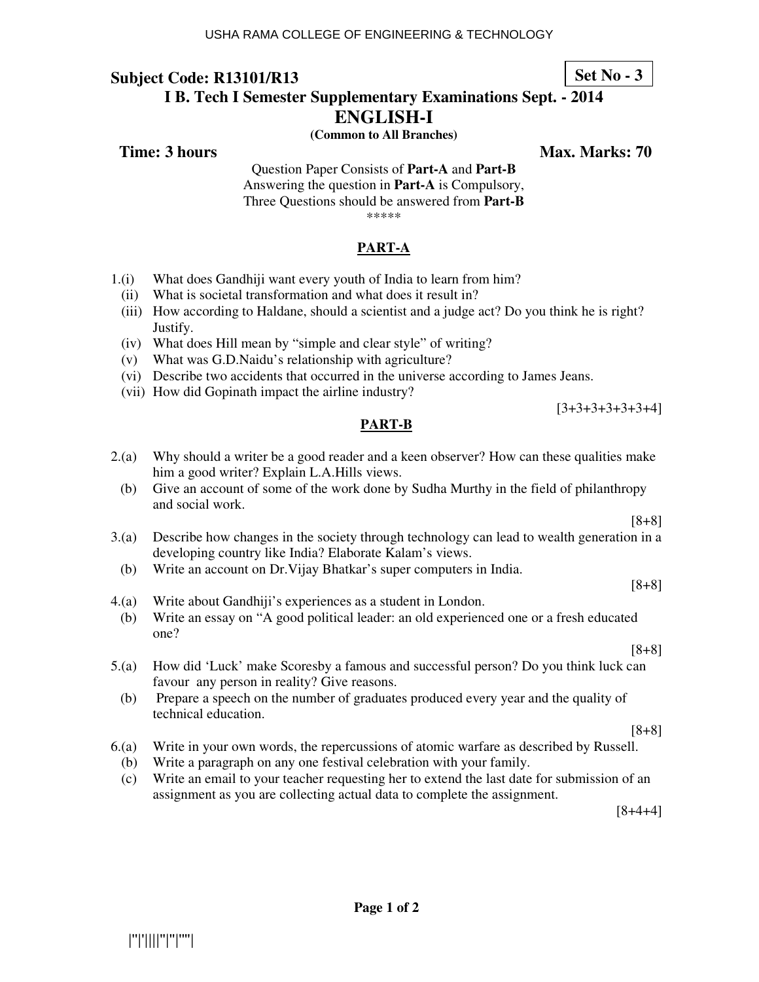## **Subject Code: R13101/R13 I B. Tech I Semester Supplementary Examinations Sept. - 2014**

**ENGLISH-I (Common to All Branches)** 

**Time: 3 hours Max. Marks: 70**  Max. Marks: 70

Question Paper Consists of **Part-A** and **Part-B** Answering the question in **Part-A** is Compulsory, Three Questions should be answered from **Part-B** \*\*\*\*\*

## **PART-A**

- 1.(i) What does Gandhiji want every youth of India to learn from him?
	- (ii) What is societal transformation and what does it result in?
	- (iii) How according to Haldane, should a scientist and a judge act? Do you think he is right? Justify.
	- (iv) What does Hill mean by "simple and clear style" of writing?
	- (v) What was G.D.Naidu's relationship with agriculture?
	- (vi) Describe two accidents that occurred in the universe according to James Jeans.
	- (vii) How did Gopinath impact the airline industry?

**PART-B**

- 2.(a) Why should a writer be a good reader and a keen observer? How can these qualities make him a good writer? Explain L.A.Hills views.
	- (b) Give an account of some of the work done by Sudha Murthy in the field of philanthropy and social work.
- 3.(a) Describe how changes in the society through technology can lead to wealth generation in a developing country like India? Elaborate Kalam's views.
- (b) Write an account on Dr.Vijay Bhatkar's super computers in India.
- 4.(a) Write about Gandhiji's experiences as a student in London.
- (b) Write an essay on "A good political leader: an old experienced one or a fresh educated one?
- 5.(a) How did 'Luck' make Scoresby a famous and successful person? Do you think luck can favour any person in reality? Give reasons.
	- (b) Prepare a speech on the number of graduates produced every year and the quality of technical education.

[8+8]

- 6.(a) Write in your own words, the repercussions of atomic warfare as described by Russell.
	- (b) Write a paragraph on any one festival celebration with your family.
	- (c) Write an email to your teacher requesting her to extend the last date for submission of an assignment as you are collecting actual data to complete the assignment.

[8+4+4]

**Set No - 3**

[8+8]

[8+8]

[8+8]

[3+3+3+3+3+3+4]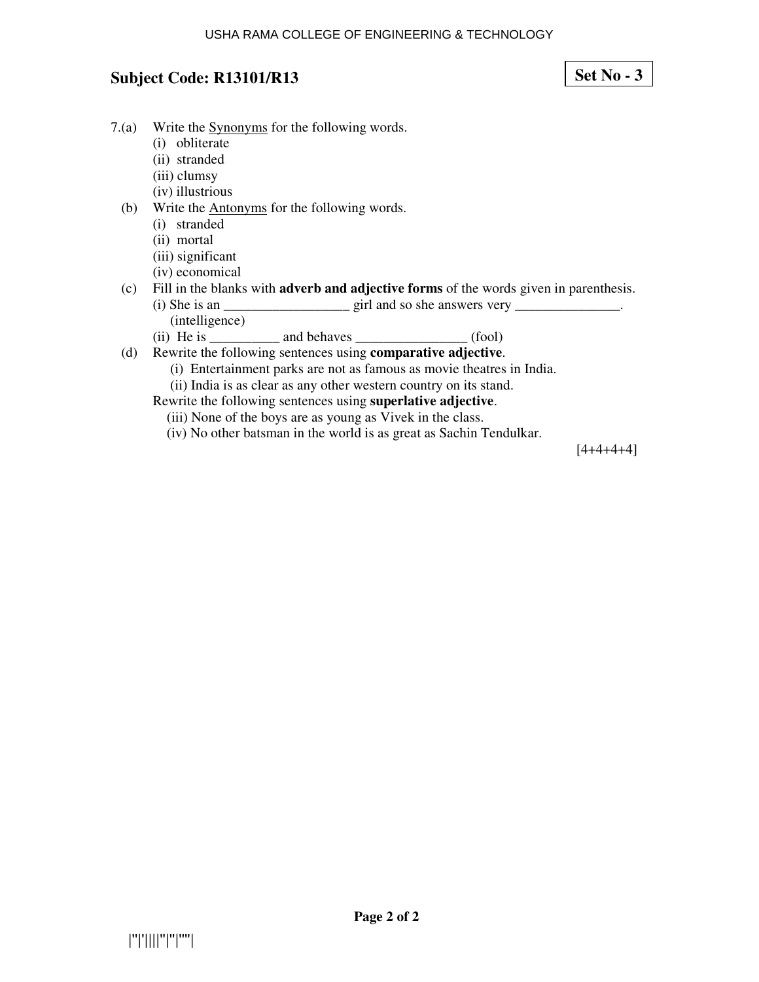**Set No - 3**

- 7.(a) Write the Synonyms for the following words.
	- (i) obliterate
	- (ii) stranded
	- (iii) clumsy
	- (iv) illustrious
	- (b) Write the Antonyms for the following words.
		- (i) stranded
		- (ii) mortal
		- (iii) significant
		- (iv) economical
	- (c) Fill in the blanks with **adverb and adjective forms** of the words given in parenthesis. (i) She is an  $\frac{1}{\sqrt{2}}$  is an  $\frac{1}{\sqrt{2}}$  girl and so she answers very  $\frac{1}{\sqrt{2}}$ .
		- (intelligence)
		- $(ii)$  He is  $and$  behaves  $(fool)$
	- (d) Rewrite the following sentences using **comparative adjective**.
		- (i) Entertainment parks are not as famous as movie theatres in India.
		- (ii) India is as clear as any other western country on its stand.
		- Rewrite the following sentences using **superlative adjective**.
			- (iii) None of the boys are as young as Vivek in the class.
			- (iv) No other batsman in the world is as great as Sachin Tendulkar.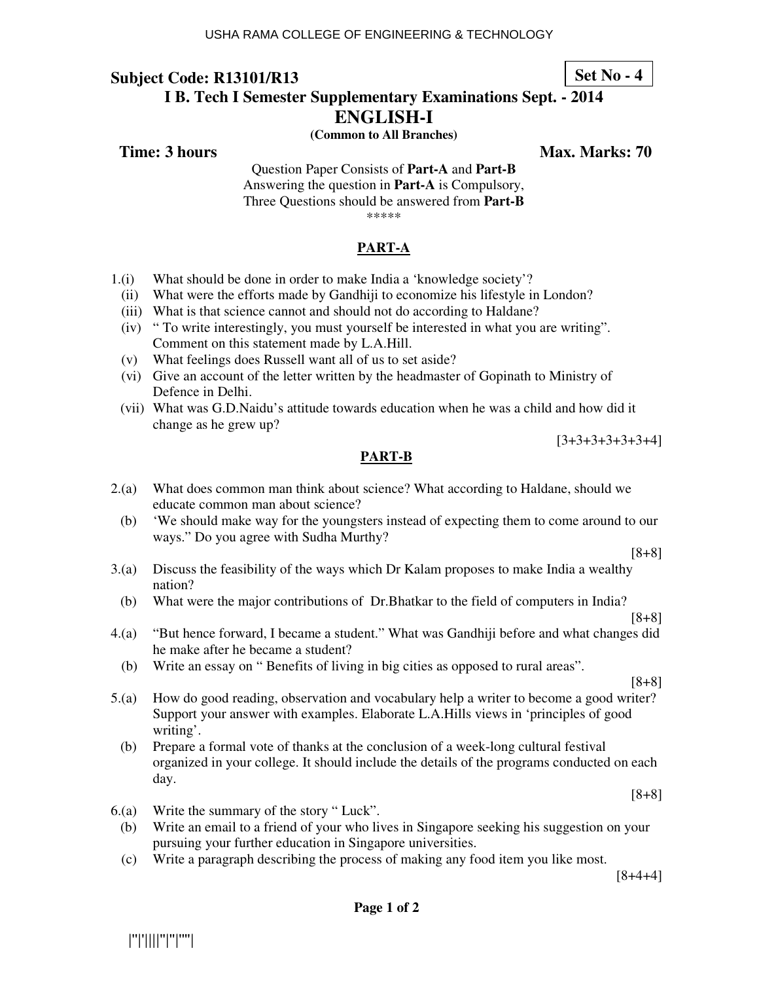### **Set No - 4**

## **Subject Code: R13101/R13 I B. Tech I Semester Supplementary Examinations Sept. - 2014**

**ENGLISH-I** 

**(Common to All Branches)** 

**Time: 3 hours Max. Marks: 70**  Max. Marks: 70

Question Paper Consists of **Part-A** and **Part-B** Answering the question in **Part-A** is Compulsory, Three Questions should be answered from **Part-B** \*\*\*\*\*

**PART-A**

- 1.(i) What should be done in order to make India a 'knowledge society'?
	- (ii) What were the efforts made by Gandhiji to economize his lifestyle in London?
	- (iii) What is that science cannot and should not do according to Haldane?
	- (iv) " To write interestingly, you must yourself be interested in what you are writing". Comment on this statement made by L.A.Hill.
	- (v) What feelings does Russell want all of us to set aside?
	- (vi) Give an account of the letter written by the headmaster of Gopinath to Ministry of Defence in Delhi.
	- (vii) What was G.D.Naidu's attitude towards education when he was a child and how did it change as he grew up?

[3+3+3+3+3+3+4]

## **PART-B**

- 2.(a) What does common man think about science? What according to Haldane, should we educate common man about science?
	- (b) 'We should make way for the youngsters instead of expecting them to come around to our ways." Do you agree with Sudha Murthy?

[8+8]

[8+8]

- 3.(a) Discuss the feasibility of the ways which Dr Kalam proposes to make India a wealthy nation?
- (b) What were the major contributions of Dr.Bhatkar to the field of computers in India?
- 4.(a) "But hence forward, I became a student." What was Gandhiji before and what changes did he make after he became a student?
- (b) Write an essay on " Benefits of living in big cities as opposed to rural areas".

[8+8]

- 5.(a) How do good reading, observation and vocabulary help a writer to become a good writer? Support your answer with examples. Elaborate L.A.Hills views in 'principles of good writing'.
	- (b) Prepare a formal vote of thanks at the conclusion of a week-long cultural festival organized in your college. It should include the details of the programs conducted on each day.

[8+8]

- 6.(a) Write the summary of the story " Luck".
- (b) Write an email to a friend of your who lives in Singapore seeking his suggestion on your pursuing your further education in Singapore universities.
- (c) Write a paragraph describing the process of making any food item you like most.

[8+4+4]

|''|'||||''|''|''''|